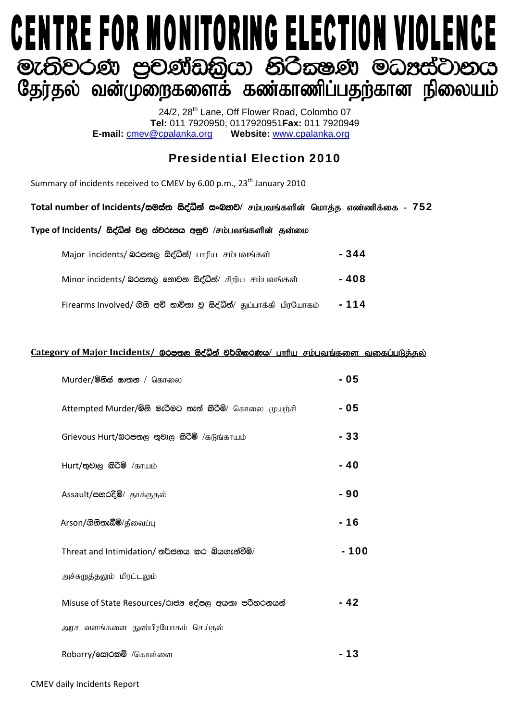# **CENTRE FOR MONITORING ELECTION VIOLENCE** මැතිවරණ පුවණ්ඩකියා නිරිකෂණ මධාස්වානය<br>ශුණ්තුல வன்முறைகளைக் கண்காணிப்பதற்கான நிலையம்

24/2, 28<sup>th</sup> Lane, Off Flower Road, Colombo 07 **Tel:** 011 7920950, 0117920951**Fax:** 011 7920949 **E-mail:** cmev@cpalanka.org **Website:** www.cpalanka.org

### Presidential Election 2010

Summary of incidents received to CMEV by 6.00 p.m., 23<sup>th</sup> January 2010

#### Total number of Incidents/සමස්ත සිද්ධින් සංඛතව/ சம்பவங்களின் மொத்த எண்ணிக்கை - 752

#### **Type of Incidents/ සිද්ධින් වල ස්වරූපය අනුව** /சம்பவங்களின் தன்மை

| Major incidents/ லெக்ஸ்ரு க்சீவீத்/ பாரிய சம்பவங்கள்        | - 344 |
|-------------------------------------------------------------|-------|
| Minor incidents/ බරපතල නොවන සිද්ධීන්/ சிறிய சம்பவங்கள்      | - 408 |
| Firearms Involved/ தித் கூற்றை இக்ஜீலீ/ துப்பாக்கி பிரயோகம் | - 114 |

#### Category of Major **Incidents/ බරපතල සිද්ධින් වර්ගිකරණය**/ பாரிய சம்பவங்களை வகைப்படுக்கல்

| Murder/මිනිස් සාතන / கொலை                              | - 05  |
|--------------------------------------------------------|-------|
| Attempted Murder/මිනී මැරිමට තැත් කිරිමි/ கொலை முயற்சி | - 05  |
| Grievous Hurt/බරපතල තුවාල කිරීම් /கடுங்காயம்           | - 33  |
| Hurt/තුවාල කිරීම් /காயம்                               | - 40  |
| Assault/පහරදීම්/ தாக்குதல்                             | - 90  |
| Arson/ගිනිතැබීම/தீவைப்பு                               | - 16  |
| Threat and Intimidation/ තර්ජනය කර බියගැන්වීම්/        | - 100 |
| அச்சுறுத்தலும் மிரட்டலும்                              |       |
| Misuse of State Resources/රාජය දේපල අයතා පරිහරනයන්     | - 42  |
| அரச வளங்களை துஸ்பிரயோகம் செய்தல்                       |       |
| Robarry/வைக்கு /கொள்ளை                                 |       |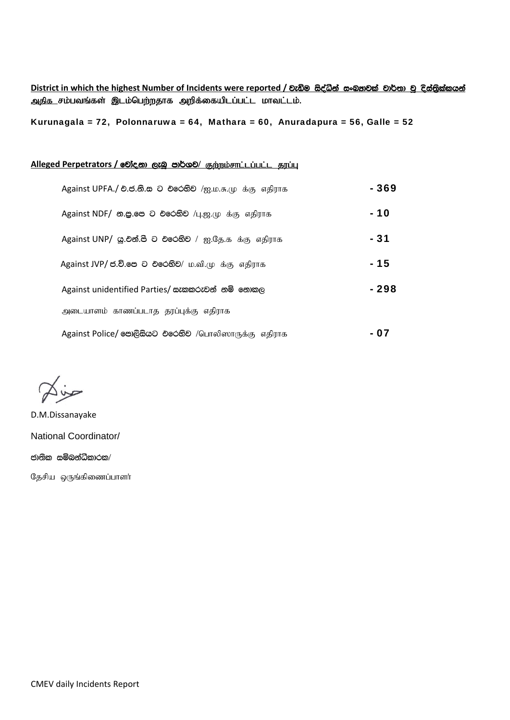**District in which the highest Number of Incidents were reported / වැඩිම සිද්ධින් සංඛතවක් වාර්තා වූ දිස්තිුක්කයන්** அதிக சம்பவங்கள் இடம்பெற்றதாக அறிக்கையிடப்பட்ட மாவட்டம்.

Kurunagala = 72, Polonnaruwa = 64, Mathara = 60, Anuradapura = 56, Galle = 52

#### **Alleged Perpetrators / @Dic @Dic @ @Dic @Dic @@Digity ; @Dilliged Perpetrators / @Dic @Digity ;**

| Against UPFA./ එ.ජ.லி. ை එරෙහිව /ஐ.ம.சு.மு க்கு எதிராக      | $-369$ |
|-------------------------------------------------------------|--------|
| Against NDF/ கூஜ. சை செல்லி /பு.ஜ. முக்கு எதிராக            | - 10   |
| Against UNP/ இ. ூ. சே. செல்லி / ஐ. தே. க க்கு எதிராக        | - 31   |
| Against JVP/ ජ.වි.පෙ ට එරෙහිව/ ம.வி.மு க்கு எதிராக          | $-15$  |
| Against unidentified Parties/ සැකකරුවන් නම් නොකල            | - 298  |
| அடையாளம் காணப்படாத தரப்புக்கு எதிராக                        |        |
| Against Police/ <b>පොලිසියට එරෙහිව</b> /பொலிஸாருக்கு எதிராக | - 07   |

حناكا

D.M.Dissanayake National Coordinator/ ජාතික සම්බන්ධිකාරක $/$ 

தேசிய ஒருங்கிணைப்பாளர்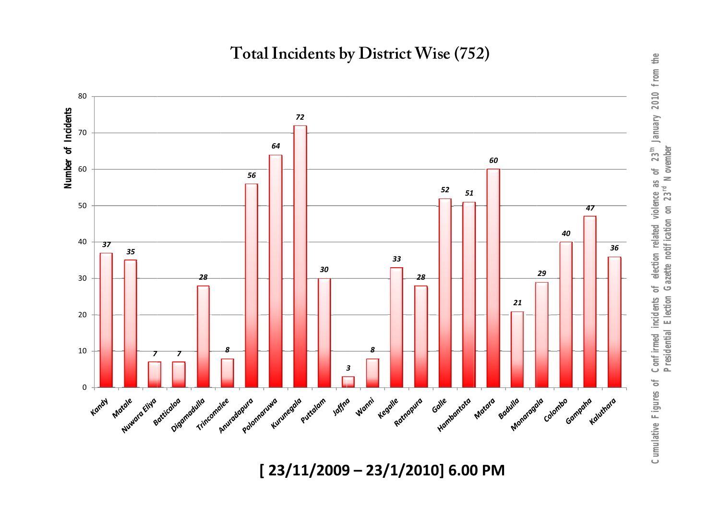**Total In ncidents b by District t Wise (75 52)** 



**[ 23 3/11/2009 9 – 23/1/2 2010] 6.00 PM**

*Cumulative Figures of Confirmed incidents of election related violence as of 23th January 2010 from the*  Cumulative Figures of Confirmed incidents of election related violence as of 23<sup>th</sup> January 2010 from the<br>Presidential Election Gazette notification on 23<sup>rd</sup> November *Presidential Election Gazette notification on 23rd November*